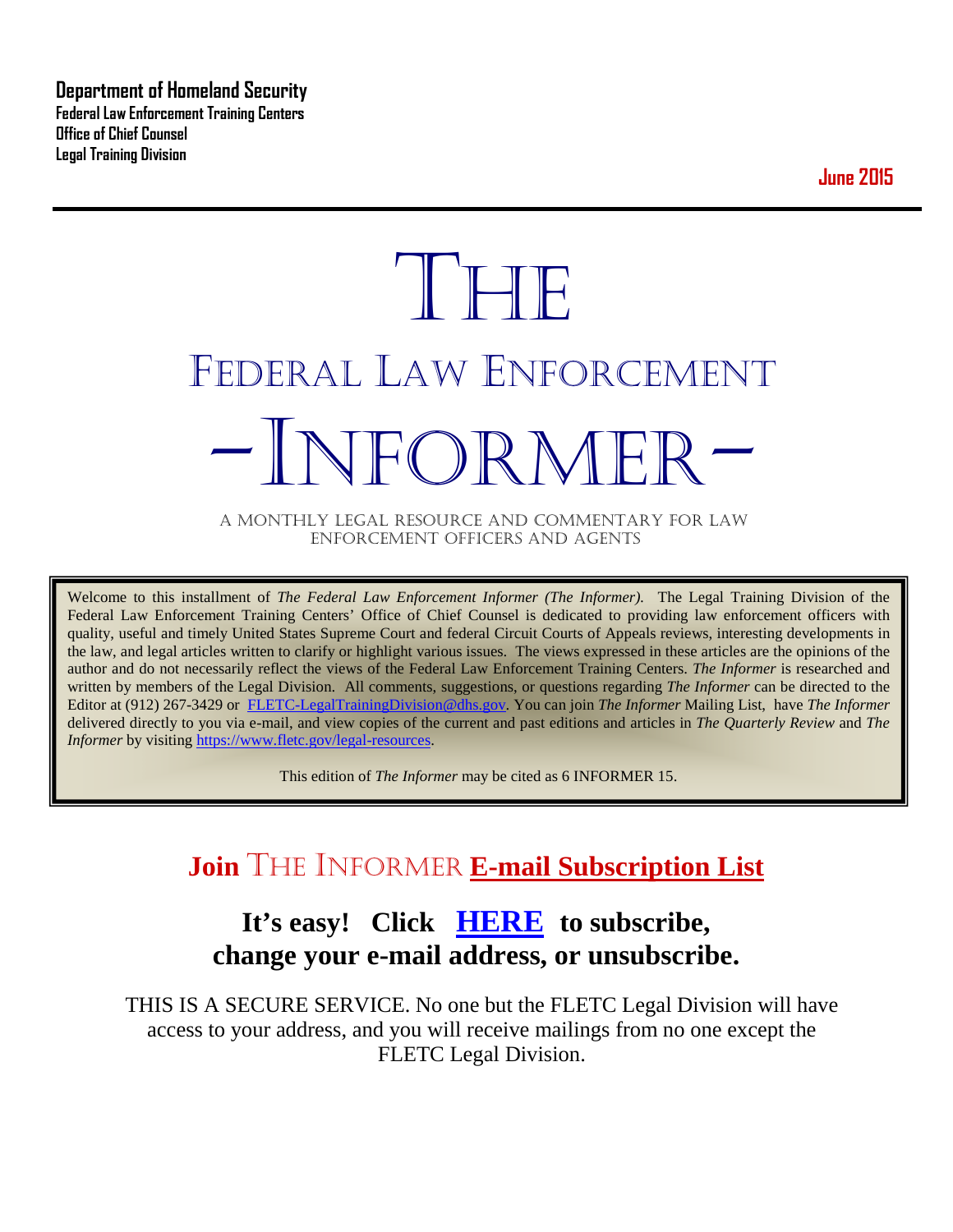**Department of Homeland Security Federal Law Enforcement Training Centers Office of Chief Counsel Legal Training Division** 

**June 2015**

# **THE** FEDERAL LAW ENFORCEMENT -INFORMER- A MONTHLY LEGAL RESOURCE AND COMMENTARY FOR LAW

ENFORCEMENT OFFICERS AND AGENTS

Welcome to this installment of *The Federal Law Enforcement Informer (The Informer).* The Legal Training Division of the Federal Law Enforcement Training Centers' Office of Chief Counsel is dedicated to providing law enforcement officers with quality, useful and timely United States Supreme Court and federal Circuit Courts of Appeals reviews, interesting developments in the law, and legal articles written to clarify or highlight various issues. The views expressed in these articles are the opinions of the author and do not necessarily reflect the views of the Federal Law Enforcement Training Centers. *The Informer* is researched and written by members of the Legal Division. All comments, suggestions, or questions regarding *The Informer* can be directed to the Editor at (912) 267-3429 or [FLETC-LegalTrainingDivision@dhs.gov.](mailto:FLETC-LegalTrainingDivision@dhs.gov) You can join *The Informer* Mailing List, have *The Informer* delivered directly to you via e-mail, and view copies of the current and past editions and articles in *The Quarterly Review* and *The Informer* by visiting [https://www.fletc.gov/legal-resources.](https://www.fletc.gov/legal-resources)

This edition of *The Informer* may be cited as 6 INFORMER 15.

# **Join** THE INFORMER **E-mail Subscription List**

# **It's easy! Click [HERE](http://peach.ease.lsoft.com/scripts/wa.exe?SUBED1=fletclgd&A=1) to subscribe, change your e-mail address, or unsubscribe.**

THIS IS A SECURE SERVICE. No one but the FLETC Legal Division will have access to your address, and you will receive mailings from no one except the FLETC Legal Division.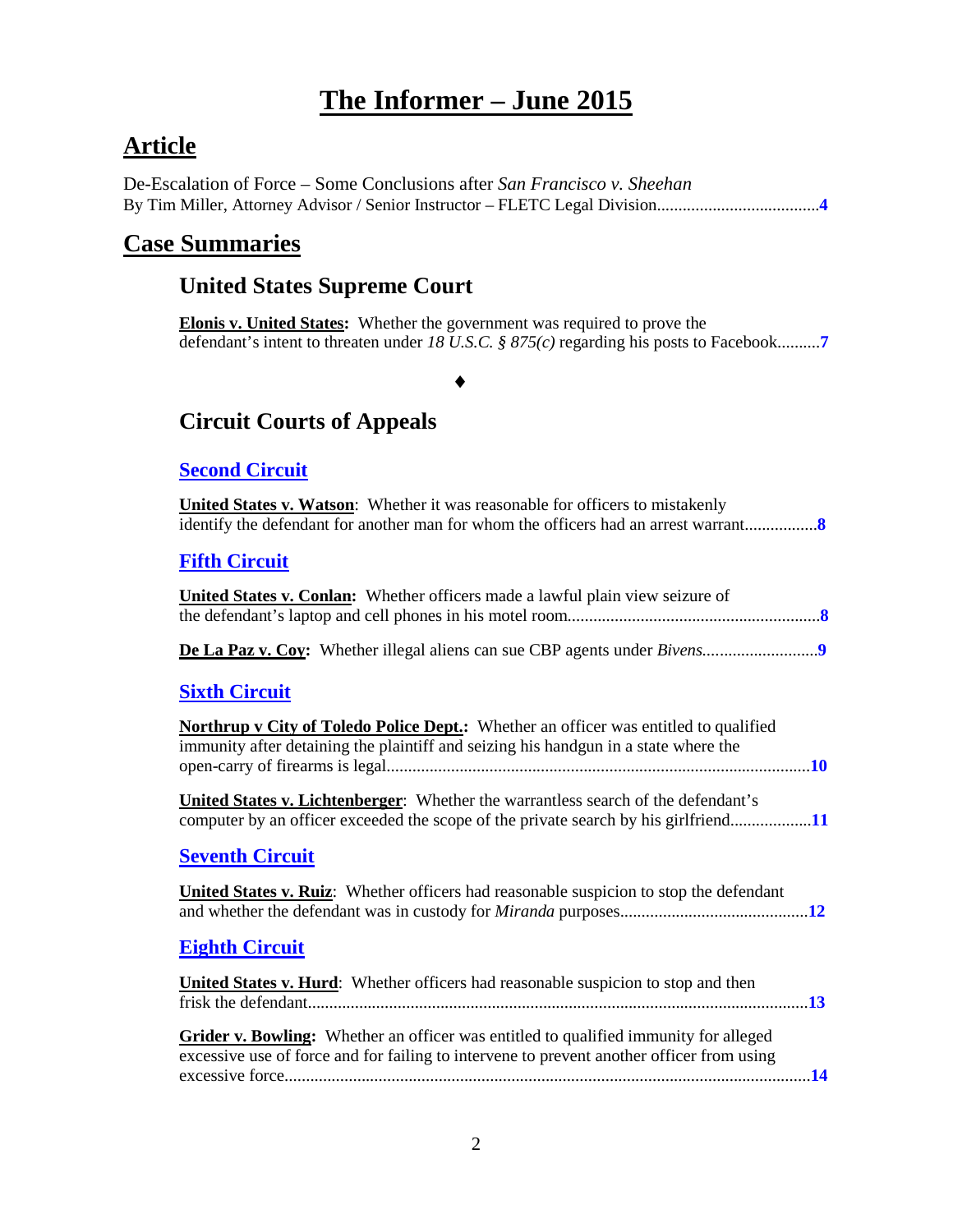# **The Informer – June 2015**

# **Article**

De-Escalation of Force – Some Conclusions after *San Francisco v. Sheehan* By Tim Miller, Attorney Advisor / Senior Instructor – FLETC Legal Division......................................**[4](#page-3-0)**

### **Case Summaries**

### **United States Supreme Court**

**Elonis v. United States:** Whether the government was required to prove the defendant's intent to threaten under *18 U.S.C. § 875(c)* regarding his posts to Facebook..........**[7](#page-6-0)**

### ♦

### **[Circuit Courts of Appeals](#page-6-1)**

### **[Second Circuit](#page-7-0)**

| <b>United States v. Watson:</b> Whether it was reasonable for officers to mistakenly |
|--------------------------------------------------------------------------------------|
|                                                                                      |

### **Fifth [Circuit](#page-7-2)**

| r nur Untun                                                                                                                                                                        |  |
|------------------------------------------------------------------------------------------------------------------------------------------------------------------------------------|--|
| United States v. Conlan: Whether officers made a lawful plain view seizure of                                                                                                      |  |
|                                                                                                                                                                                    |  |
| <b>Sixth Circuit</b>                                                                                                                                                               |  |
| <b>Northrup v City of Toledo Police Dept.:</b> Whether an officer was entitled to qualified<br>immunity after detaining the plaintiff and seizing his handgun in a state where the |  |
| United States v. Lichtenberger: Whether the warrantless search of the defendant's                                                                                                  |  |
| <b>Seventh Circuit</b>                                                                                                                                                             |  |
| <b>United States v. Ruiz:</b> Whether officers had reasonable suspicion to stop the defendant                                                                                      |  |

### **[Eighth Circuit](#page-12-0)**

| United States v. Hurd: Whether officers had reasonable suspicion to stop and then                                                                                                 |  |
|-----------------------------------------------------------------------------------------------------------------------------------------------------------------------------------|--|
|                                                                                                                                                                                   |  |
| Grider v. Bowling: Whether an officer was entitled to qualified immunity for alleged<br>excessive use of force and for failing to intervene to prevent another officer from using |  |
|                                                                                                                                                                                   |  |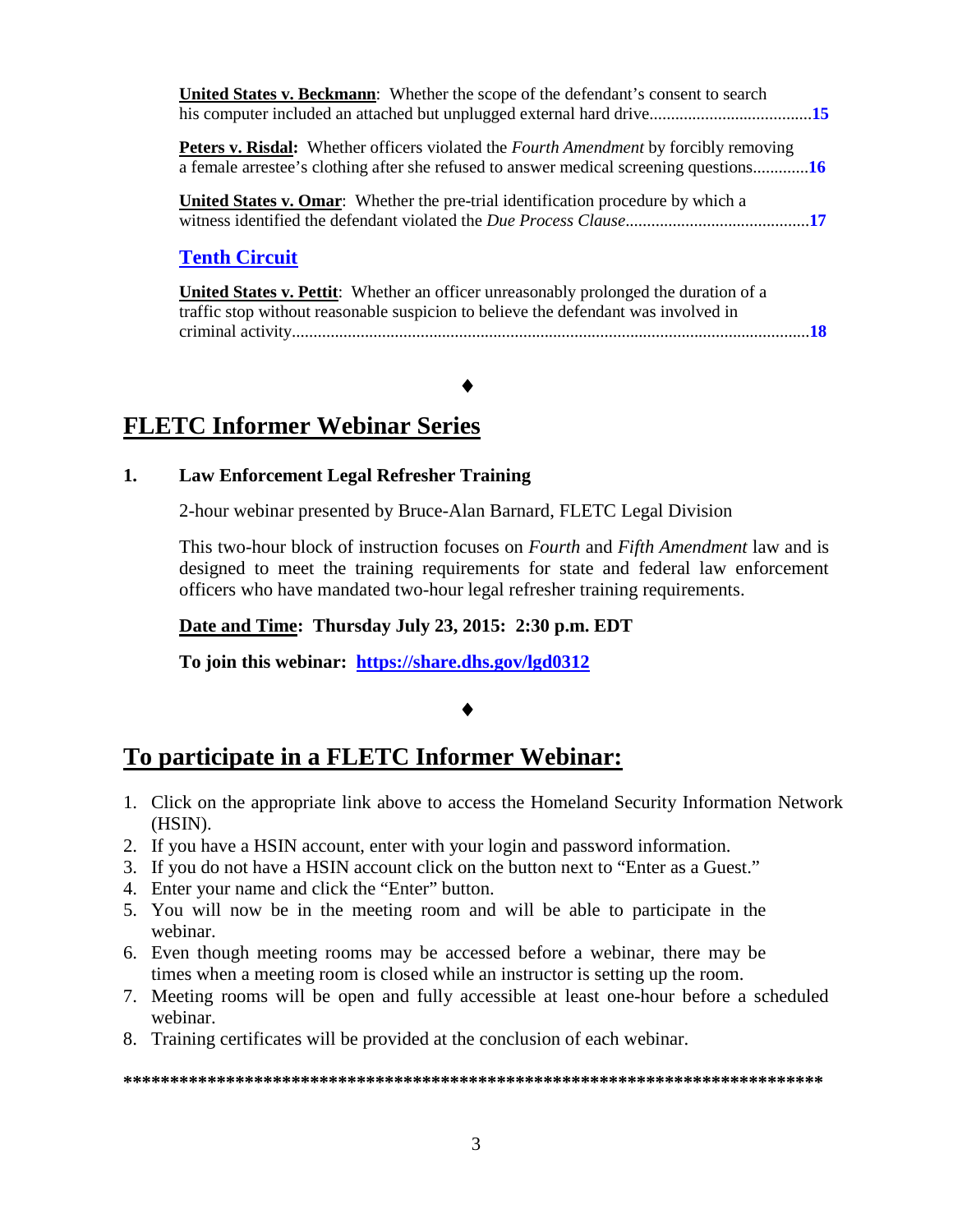| <b>United States v. Beckmann:</b> Whether the scope of the defendant's consent to search                                                                                                      |  |
|-----------------------------------------------------------------------------------------------------------------------------------------------------------------------------------------------|--|
| <b>Peters v. Risdal:</b> Whether officers violated the <i>Fourth Amendment</i> by forcibly removing<br>a female arrestee's clothing after she refused to answer medical screening questions16 |  |
| <b>United States v. Omar:</b> Whether the pre-trial identification procedure by which a                                                                                                       |  |
| <b>Tenth Circuit</b>                                                                                                                                                                          |  |
| <b>United States v. Pettit:</b> Whether an officer unreasonably prolonged the duration of a<br>traffic stop without reasonable suspicion to believe the defendant was involved in             |  |

criminal activity.........................................................................................................................**[18](#page-17-1)**

# **FLETC Informer Webinar Series**

#### **1. Law Enforcement Legal Refresher Training**

2-hour webinar presented by Bruce-Alan Barnard, FLETC Legal Division

♦

This two-hour block of instruction focuses on *Fourth* and *Fifth Amendment* law and is designed to meet the training requirements for state and federal law enforcement officers who have mandated two-hour legal refresher training requirements.

#### **Date and Time: Thursday July 23, 2015: 2:30 p.m. EDT**

**To join this webinar: <https://share.dhs.gov/lgd0312>**

### ♦

### **To participate in a FLETC Informer Webinar:**

- 1. Click on the appropriate link above to access the Homeland Security Information Network (HSIN).
- 2. If you have a HSIN account, enter with your login and password information.
- 3. If you do not have a HSIN account click on the button next to "Enter as a Guest."
- 4. Enter your name and click the "Enter" button.
- 5. You will now be in the meeting room and will be able to participate in the webinar.
- 6. Even though meeting rooms may be accessed before a webinar, there may be times when a meeting room is closed while an instructor is setting up the room.
- 7. Meeting rooms will be open and fully accessible at least one-hour before a scheduled webinar.
- 8. Training certificates will be provided at the conclusion of each webinar.

**\*\*\*\*\*\*\*\*\*\*\*\*\*\*\*\*\*\*\*\*\*\*\*\*\*\*\*\*\*\*\*\*\*\*\*\*\*\*\*\*\*\*\*\*\*\*\*\*\*\*\*\*\*\*\*\*\*\*\*\*\*\*\*\*\*\*\*\*\*\*\*\*\*\*\***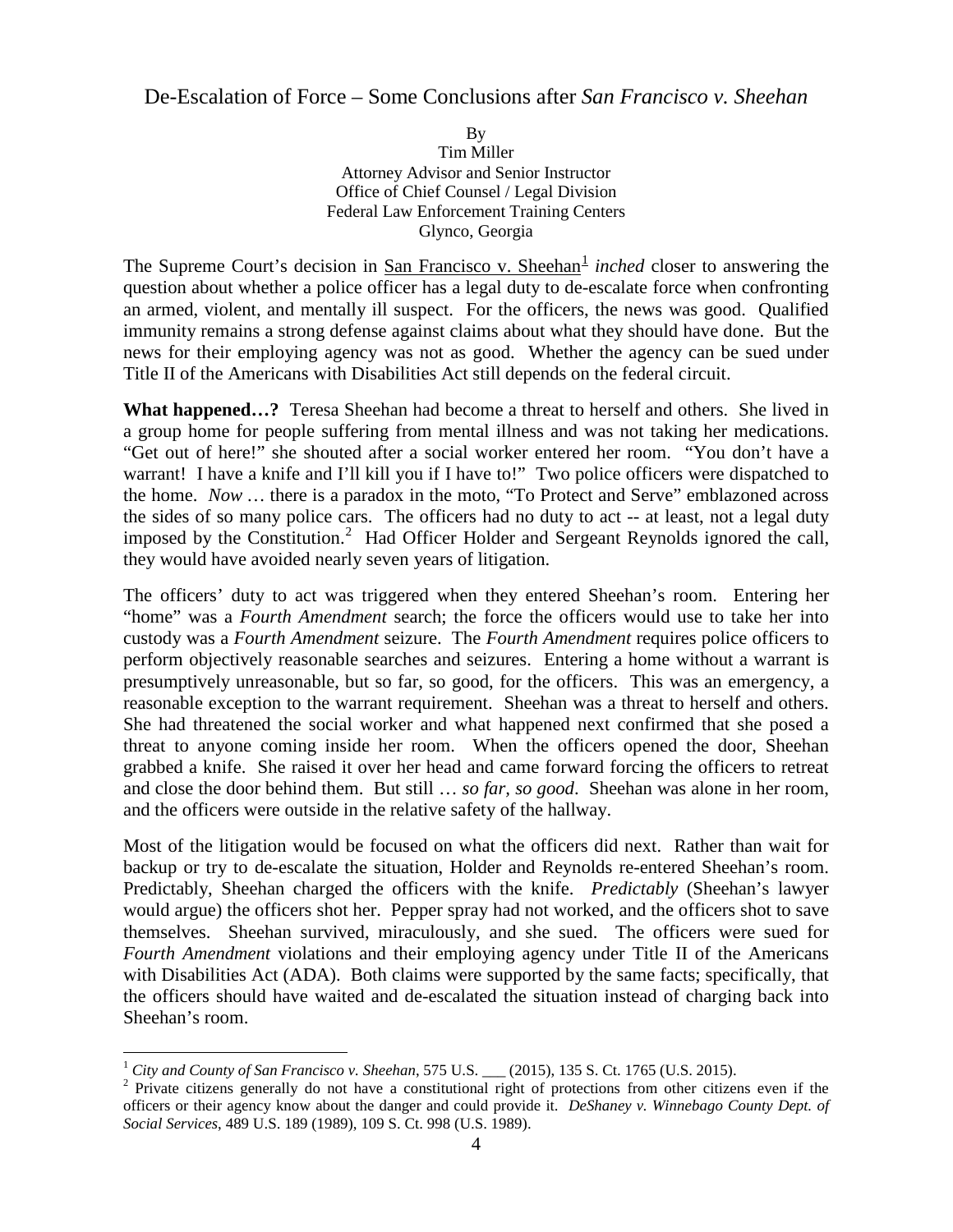### <span id="page-3-0"></span>De-Escalation of Force – Some Conclusions after *San Francisco v. Sheehan*

By Tim Miller Attorney Advisor and Senior Instructor Office of Chief Counsel / Legal Division Federal Law Enforcement Training Centers Glynco, Georgia

The Supreme Court's decision in San Francisco v. Sheehan<sup>[1](#page-3-1)</sup> *inched* closer to answering the question about whether a police officer has a legal duty to de-escalate force when confronting an armed, violent, and mentally ill suspect. For the officers, the news was good. Qualified immunity remains a strong defense against claims about what they should have done. But the news for their employing agency was not as good. Whether the agency can be sued under Title II of the Americans with Disabilities Act still depends on the federal circuit.

**What happened…?** Teresa Sheehan had become a threat to herself and others. She lived in a group home for people suffering from mental illness and was not taking her medications. "Get out of here!" she shouted after a social worker entered her room. "You don't have a warrant! I have a knife and I'll kill you if I have to!" Two police officers were dispatched to the home. *Now …* there is a paradox in the moto, "To Protect and Serve" emblazoned across the sides of so many police cars. The officers had no duty to act -- at least, not a legal duty imposed by the Constitution.<sup>[2](#page-3-2)</sup> Had Officer Holder and Sergeant Reynolds ignored the call, they would have avoided nearly seven years of litigation.

The officers' duty to act was triggered when they entered Sheehan's room. Entering her "home" was a *Fourth Amendment* search; the force the officers would use to take her into custody was a *Fourth Amendment* seizure. The *Fourth Amendment* requires police officers to perform objectively reasonable searches and seizures. Entering a home without a warrant is presumptively unreasonable, but so far, so good, for the officers. This was an emergency, a reasonable exception to the warrant requirement. Sheehan was a threat to herself and others. She had threatened the social worker and what happened next confirmed that she posed a threat to anyone coming inside her room. When the officers opened the door, Sheehan grabbed a knife. She raised it over her head and came forward forcing the officers to retreat and close the door behind them. But still … *so far, so good*. Sheehan was alone in her room, and the officers were outside in the relative safety of the hallway.

Most of the litigation would be focused on what the officers did next. Rather than wait for backup or try to de-escalate the situation, Holder and Reynolds re-entered Sheehan's room. Predictably, Sheehan charged the officers with the knife. *Predictably* (Sheehan's lawyer would argue) the officers shot her. Pepper spray had not worked, and the officers shot to save themselves. Sheehan survived, miraculously, and she sued. The officers were sued for *Fourth Amendment* violations and their employing agency under Title II of the Americans with Disabilities Act (ADA). Both claims were supported by the same facts; specifically, that the officers should have waited and de-escalated the situation instead of charging back into Sheehan's room.

<sup>&</sup>lt;sup>1</sup> City and County of San Francisco v. Sheehan, 575 U.S.  $\_\_$  (2015), 135 S. Ct. 1765 (U.S. 2015).

<span id="page-3-2"></span><span id="page-3-1"></span><sup>&</sup>lt;sup>2</sup> Private citizens generally do not have a constitutional right of protections from other citizens even if the officers or their agency know about the danger and could provide it. *DeShaney v. Winnebago County Dept. of Social Services*, 489 U.S. 189 (1989), 109 S. Ct. 998 (U.S. 1989).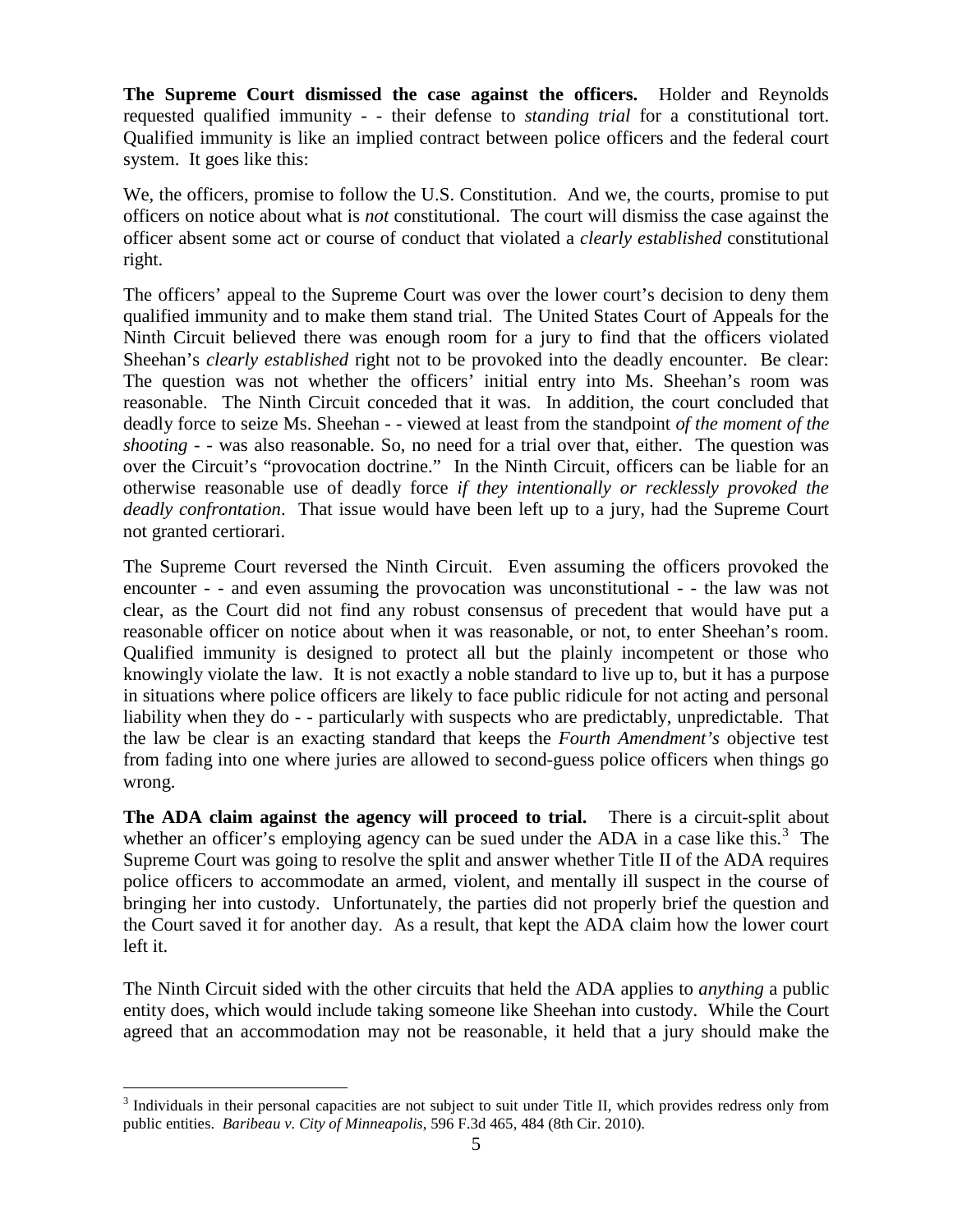**The Supreme Court dismissed the case against the officers.** Holder and Reynolds requested qualified immunity - - their defense to *standing trial* for a constitutional tort. Qualified immunity is like an implied contract between police officers and the federal court system. It goes like this:

We, the officers, promise to follow the U.S. Constitution. And we, the courts, promise to put officers on notice about what is *not* constitutional. The court will dismiss the case against the officer absent some act or course of conduct that violated a *clearly established* constitutional right.

The officers' appeal to the Supreme Court was over the lower court's decision to deny them qualified immunity and to make them stand trial. The United States Court of Appeals for the Ninth Circuit believed there was enough room for a jury to find that the officers violated Sheehan's *clearly established* right not to be provoked into the deadly encounter. Be clear: The question was not whether the officers' initial entry into Ms. Sheehan's room was reasonable. The Ninth Circuit conceded that it was. In addition, the court concluded that deadly force to seize Ms. Sheehan - - viewed at least from the standpoint *of the moment of the shooting* - - was also reasonable. So, no need for a trial over that, either. The question was over the Circuit's "provocation doctrine." In the Ninth Circuit, officers can be liable for an otherwise reasonable use of deadly force *if they intentionally or recklessly provoked the deadly confrontation*. That issue would have been left up to a jury, had the Supreme Court not granted certiorari.

The Supreme Court reversed the Ninth Circuit. Even assuming the officers provoked the encounter - - and even assuming the provocation was unconstitutional - - the law was not clear, as the Court did not find any robust consensus of precedent that would have put a reasonable officer on notice about when it was reasonable, or not, to enter Sheehan's room. Qualified immunity is designed to protect all but the plainly incompetent or those who knowingly violate the law. It is not exactly a noble standard to live up to, but it has a purpose in situations where police officers are likely to face public ridicule for not acting and personal liability when they do - - particularly with suspects who are predictably, unpredictable. That the law be clear is an exacting standard that keeps the *Fourth Amendment's* objective test from fading into one where juries are allowed to second-guess police officers when things go wrong.

**The ADA claim against the agency will proceed to trial.** There is a circuit-split about whether an officer's employing agency can be sued under the ADA in a case like this.<sup>[3](#page-4-0)</sup> The Supreme Court was going to resolve the split and answer whether Title II of the ADA requires police officers to accommodate an armed, violent, and mentally ill suspect in the course of bringing her into custody. Unfortunately, the parties did not properly brief the question and the Court saved it for another day. As a result, that kept the ADA claim how the lower court left it.

The Ninth Circuit sided with the other circuits that held the ADA applies to *anything* a public entity does, which would include taking someone like Sheehan into custody. While the Court agreed that an accommodation may not be reasonable, it held that a jury should make the

 $\overline{a}$ 

<span id="page-4-0"></span><sup>&</sup>lt;sup>3</sup> Individuals in their personal capacities are not subject to suit under Title II, which provides redress only from public entities. *Baribeau v. City of Minneapolis*, 596 F.3d 465, 484 (8th Cir. 2010).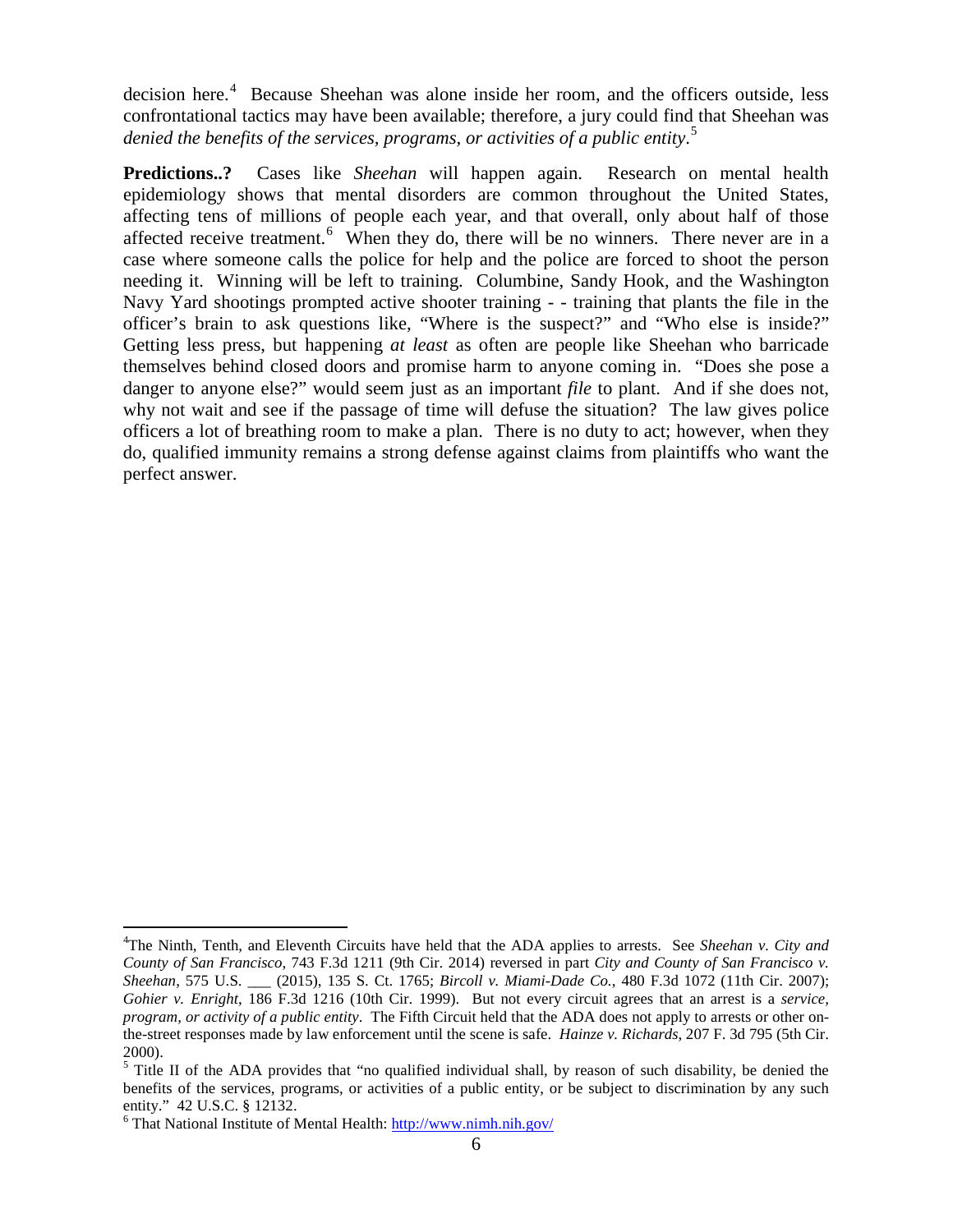decision here.<sup>[4](#page-5-0)</sup> Because Sheehan was alone inside her room, and the officers outside, less confrontational tactics may have been available; therefore, a jury could find that Sheehan was *denied the benefits of the services, programs, or activities of a public entity*. [5](#page-5-1)

**Predictions..?** Cases like *Sheehan* will happen again. Research on mental health epidemiology shows that mental disorders are common throughout the United States, affecting tens of millions of people each year, and that overall, only about half of those affected receive treatment.<sup>[6](#page-5-2)</sup> When they do, there will be no winners. There never are in a case where someone calls the police for help and the police are forced to shoot the person needing it. Winning will be left to training. Columbine, Sandy Hook, and the Washington Navy Yard shootings prompted active shooter training - - training that plants the file in the officer's brain to ask questions like, "Where is the suspect?" and "Who else is inside?" Getting less press, but happening *at least* as often are people like Sheehan who barricade themselves behind closed doors and promise harm to anyone coming in. "Does she pose a danger to anyone else?" would seem just as an important *file* to plant. And if she does not, why not wait and see if the passage of time will defuse the situation? The law gives police officers a lot of breathing room to make a plan. There is no duty to act; however, when they do, qualified immunity remains a strong defense against claims from plaintiffs who want the perfect answer.

<span id="page-5-0"></span><sup>4</sup> The Ninth, Tenth, and Eleventh Circuits have held that the ADA applies to arrests. See *Sheehan v. City and County of San Francisco*, 743 F.3d 1211 (9th Cir. 2014) reversed in part *City and County of San Francisco v. Sheehan*, 575 U.S. \_\_\_ (2015), 135 S. Ct. 1765; *Bircoll v. Miami-Dade Co.*, 480 F.3d 1072 (11th Cir. 2007); *Gohier v. Enright*, 186 F.3d 1216 (10th Cir. 1999). But not every circuit agrees that an arrest is a *service, program, or activity of a public entity*. The Fifth Circuit held that the ADA does not apply to arrests or other onthe-street responses made by law enforcement until the scene is safe. *Hainze v. Richards*, 207 F. 3d 795 (5th Cir. 2000).  $\overline{a}$ 

<span id="page-5-1"></span><sup>&</sup>lt;sup>5</sup> Title II of the ADA provides that "no qualified individual shall, by reason of such disability, be denied the benefits of the services, programs, or activities of a public entity, or be subject to discrimination by any such entity." 42 U.S.C. § 12132.

<span id="page-5-2"></span> $6$  That National Institute of Mental Health:  $\frac{http://www.nimh.nih.gov/}{http://www.nimh.nih.gov/}$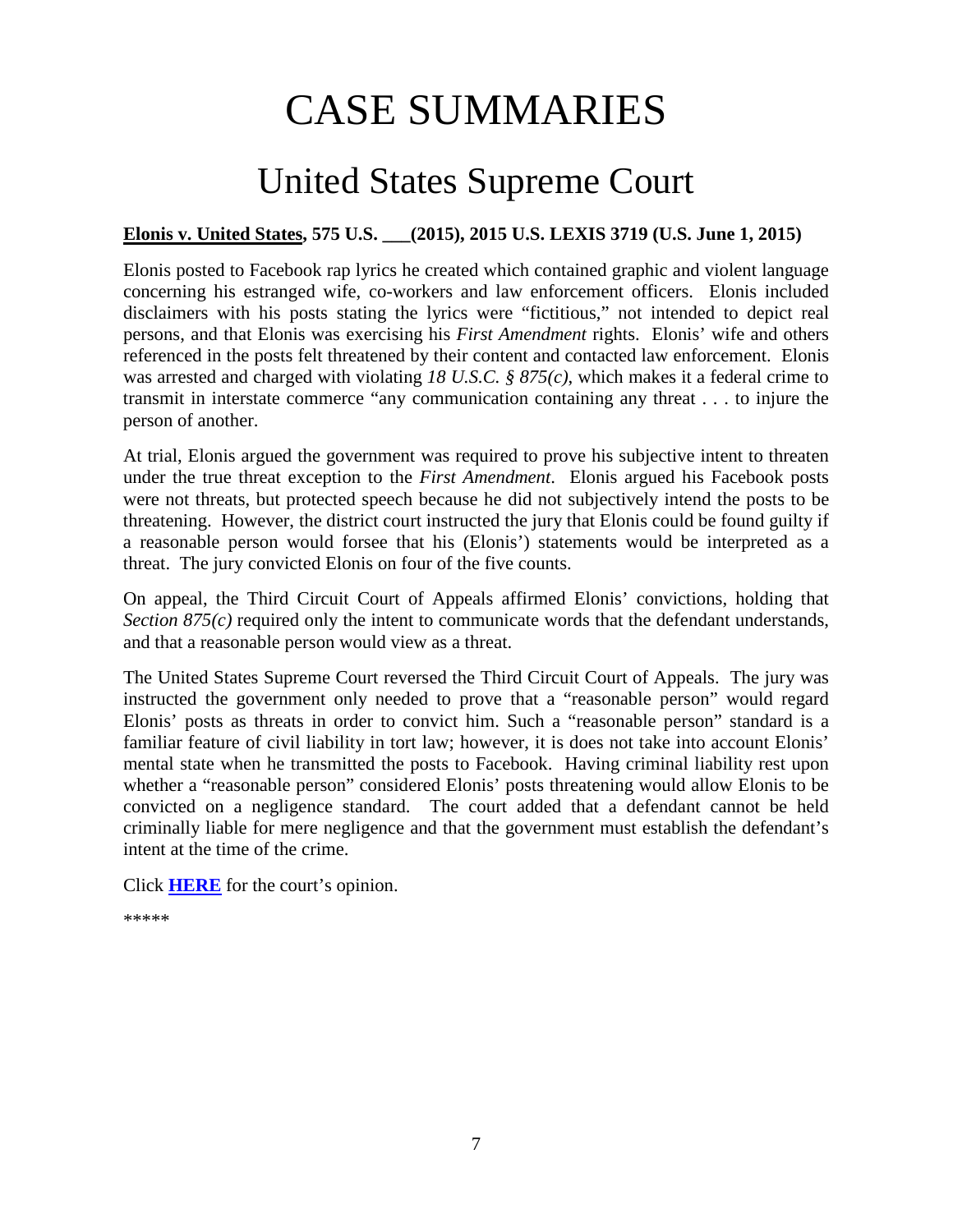# CASE SUMMARIES

# United States Supreme Court

### <span id="page-6-1"></span><span id="page-6-0"></span>**Elonis v. United States, 575 U.S. \_\_\_(2015), 2015 U.S. LEXIS 3719 (U.S. June 1, 2015)**

Elonis posted to Facebook rap lyrics he created which contained graphic and violent language concerning his estranged wife, co-workers and law enforcement officers. Elonis included disclaimers with his posts stating the lyrics were "fictitious," not intended to depict real persons, and that Elonis was exercising his *First Amendment* rights. Elonis' wife and others referenced in the posts felt threatened by their content and contacted law enforcement. Elonis was arrested and charged with violating *18 U.S.C. § 875(c)*, which makes it a federal crime to transmit in interstate commerce "any communication containing any threat . . . to injure the person of another.

At trial, Elonis argued the government was required to prove his subjective intent to threaten under the true threat exception to the *First Amendment*. Elonis argued his Facebook posts were not threats, but protected speech because he did not subjectively intend the posts to be threatening. However, the district court instructed the jury that Elonis could be found guilty if a reasonable person would forsee that his (Elonis') statements would be interpreted as a threat. The jury convicted Elonis on four of the five counts.

On appeal, the Third Circuit Court of Appeals affirmed Elonis' convictions, holding that *Section 875(c)* required only the intent to communicate words that the defendant understands, and that a reasonable person would view as a threat.

The United States Supreme Court reversed the Third Circuit Court of Appeals. The jury was instructed the government only needed to prove that a "reasonable person" would regard Elonis' posts as threats in order to convict him. Such a "reasonable person" standard is a familiar feature of civil liability in tort law; however, it is does not take into account Elonis' mental state when he transmitted the posts to Facebook. Having criminal liability rest upon whether a "reasonable person" considered Elonis' posts threatening would allow Elonis to be convicted on a negligence standard. The court added that a defendant cannot be held criminally liable for mere negligence and that the government must establish the defendant's intent at the time of the crime.

Click **[HERE](https://supreme.justia.com/cases/federal/us/575/13-983/case.pdf)** for the court's opinion.

\*\*\*\*\*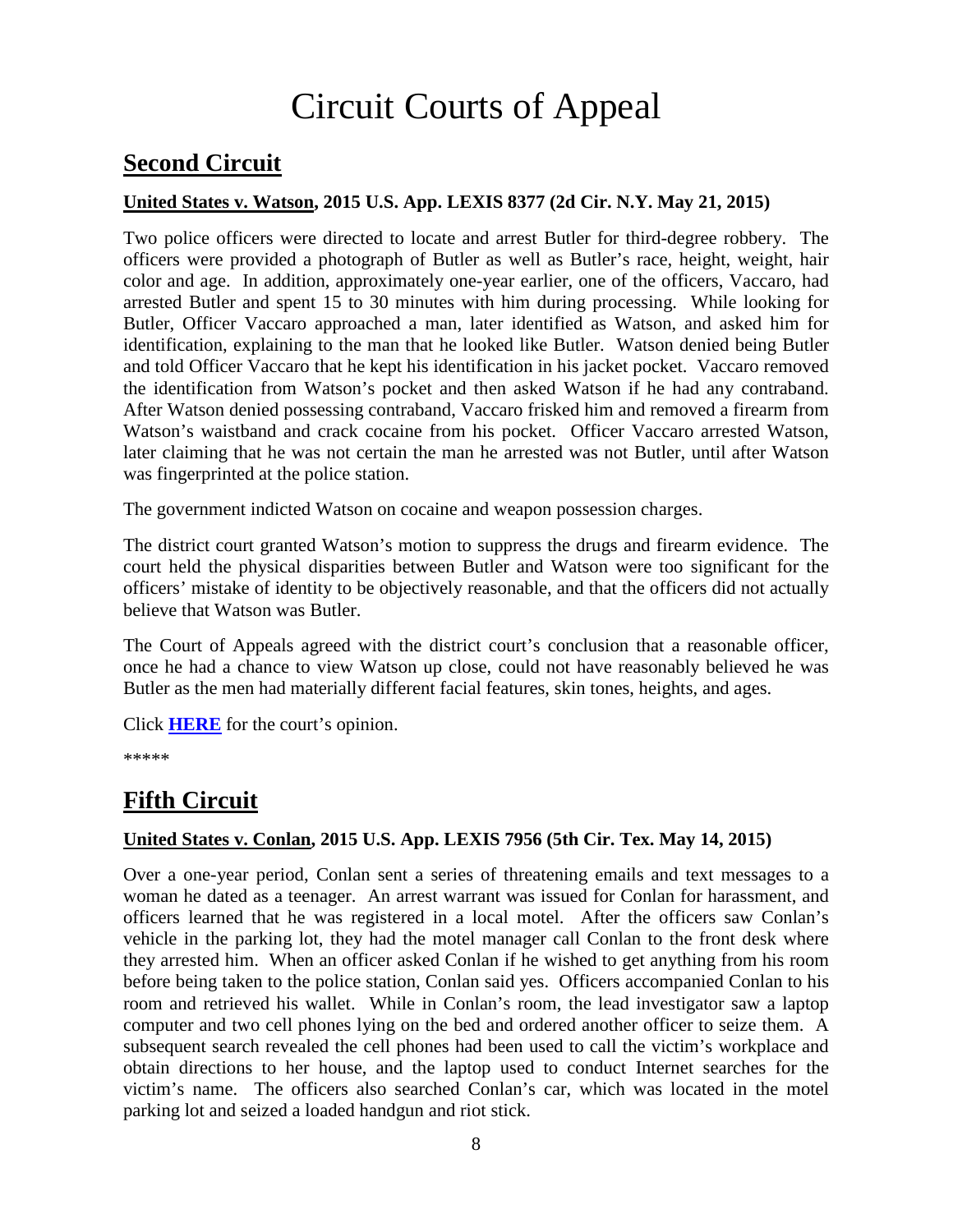# Circuit Courts of Appeal

# <span id="page-7-0"></span>**Second Circuit**

### <span id="page-7-1"></span>**United States v. Watson, 2015 U.S. App. LEXIS 8377 (2d Cir. N.Y. May 21, 2015)**

Two police officers were directed to locate and arrest Butler for third-degree robbery. The officers were provided a photograph of Butler as well as Butler's race, height, weight, hair color and age. In addition, approximately one-year earlier, one of the officers, Vaccaro, had arrested Butler and spent 15 to 30 minutes with him during processing. While looking for Butler, Officer Vaccaro approached a man, later identified as Watson, and asked him for identification, explaining to the man that he looked like Butler. Watson denied being Butler and told Officer Vaccaro that he kept his identification in his jacket pocket. Vaccaro removed the identification from Watson's pocket and then asked Watson if he had any contraband. After Watson denied possessing contraband, Vaccaro frisked him and removed a firearm from Watson's waistband and crack cocaine from his pocket. Officer Vaccaro arrested Watson, later claiming that he was not certain the man he arrested was not Butler, until after Watson was fingerprinted at the police station.

The government indicted Watson on cocaine and weapon possession charges.

The district court granted Watson's motion to suppress the drugs and firearm evidence. The court held the physical disparities between Butler and Watson were too significant for the officers' mistake of identity to be objectively reasonable, and that the officers did not actually believe that Watson was Butler.

The Court of Appeals agreed with the district court's conclusion that a reasonable officer, once he had a chance to view Watson up close, could not have reasonably believed he was Butler as the men had materially different facial features, skin tones, heights, and ages.

Click **[HERE](http://cases.justia.com/federal/appellate-courts/ca2/14-1334/14-1334-2015-05-21.pdf?ts=1432218605)** for the court's opinion.

\*\*\*\*\*

### <span id="page-7-2"></span>**Fifth Circuit**

### <span id="page-7-3"></span>**United States v. Conlan, 2015 U.S. App. LEXIS 7956 (5th Cir. Tex. May 14, 2015)**

Over a one-year period, Conlan sent a series of threatening emails and text messages to a woman he dated as a teenager. An arrest warrant was issued for Conlan for harassment, and officers learned that he was registered in a local motel. After the officers saw Conlan's vehicle in the parking lot, they had the motel manager call Conlan to the front desk where they arrested him. When an officer asked Conlan if he wished to get anything from his room before being taken to the police station, Conlan said yes. Officers accompanied Conlan to his room and retrieved his wallet. While in Conlan's room, the lead investigator saw a laptop computer and two cell phones lying on the bed and ordered another officer to seize them. A subsequent search revealed the cell phones had been used to call the victim's workplace and obtain directions to her house, and the laptop used to conduct Internet searches for the victim's name. The officers also searched Conlan's car, which was located in the motel parking lot and seized a loaded handgun and riot stick.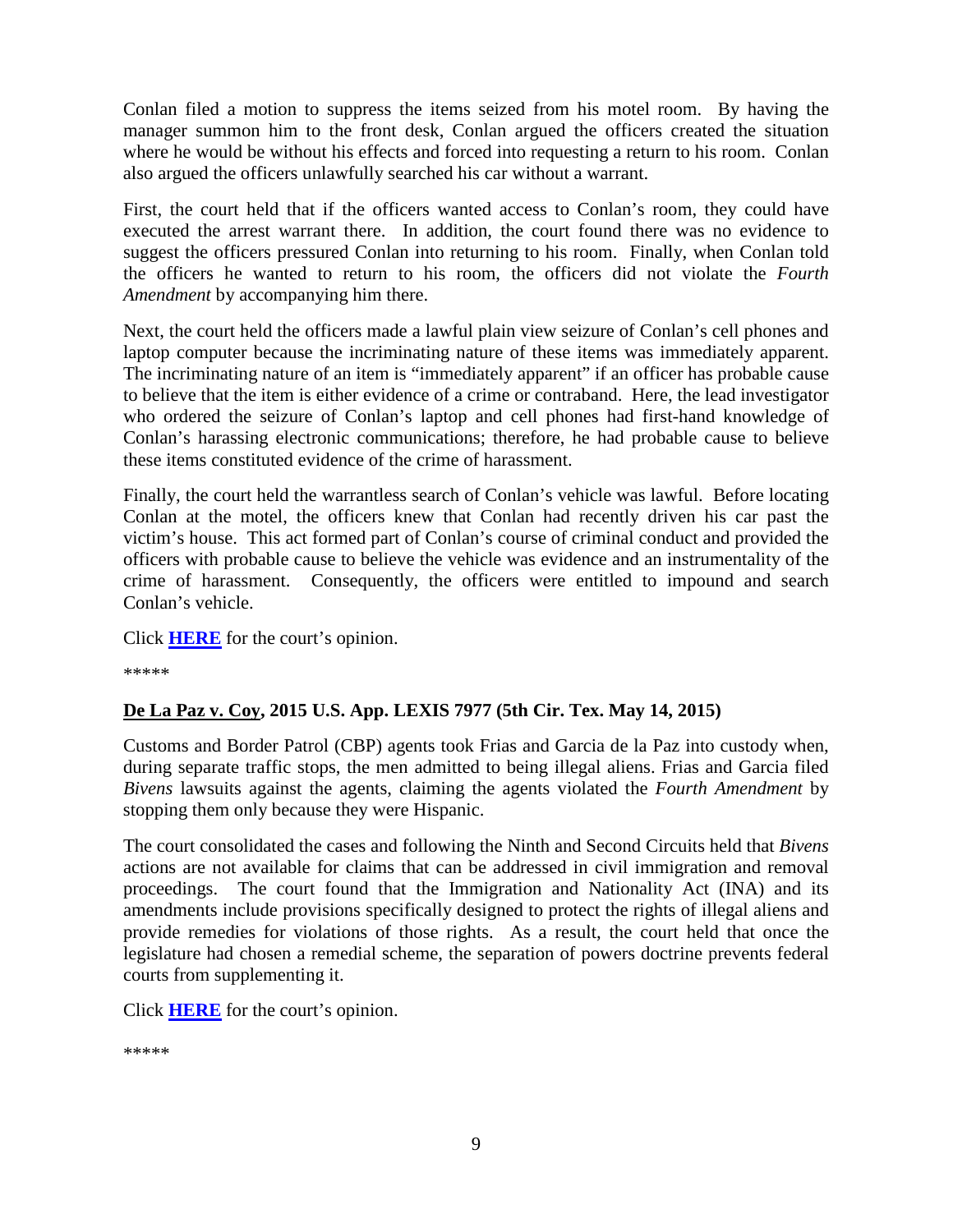Conlan filed a motion to suppress the items seized from his motel room. By having the manager summon him to the front desk, Conlan argued the officers created the situation where he would be without his effects and forced into requesting a return to his room. Conlan also argued the officers unlawfully searched his car without a warrant.

First, the court held that if the officers wanted access to Conlan's room, they could have executed the arrest warrant there. In addition, the court found there was no evidence to suggest the officers pressured Conlan into returning to his room. Finally, when Conlan told the officers he wanted to return to his room, the officers did not violate the *Fourth Amendment* by accompanying him there.

Next, the court held the officers made a lawful plain view seizure of Conlan's cell phones and laptop computer because the incriminating nature of these items was immediately apparent. The incriminating nature of an item is "immediately apparent" if an officer has probable cause to believe that the item is either evidence of a crime or contraband. Here, the lead investigator who ordered the seizure of Conlan's laptop and cell phones had first-hand knowledge of Conlan's harassing electronic communications; therefore, he had probable cause to believe these items constituted evidence of the crime of harassment.

Finally, the court held the warrantless search of Conlan's vehicle was lawful. Before locating Conlan at the motel, the officers knew that Conlan had recently driven his car past the victim's house. This act formed part of Conlan's course of criminal conduct and provided the officers with probable cause to believe the vehicle was evidence and an instrumentality of the crime of harassment. Consequently, the officers were entitled to impound and search Conlan's vehicle.

Click **[HERE](http://cases.justia.com/federal/appellate-courts/ca5/13-50842/13-50842-2015-05-14.pdf?ts=1431624629)** for the court's opinion.

\*\*\*\*\*

### <span id="page-8-0"></span>**De La Paz v. Coy, 2015 U.S. App. LEXIS 7977 (5th Cir. Tex. May 14, 2015)**

Customs and Border Patrol (CBP) agents took Frias and Garcia de la Paz into custody when, during separate traffic stops, the men admitted to being illegal aliens. Frias and Garcia filed *Bivens* lawsuits against the agents, claiming the agents violated the *Fourth Amendment* by stopping them only because they were Hispanic.

The court consolidated the cases and following the Ninth and Second Circuits held that *Bivens* actions are not available for claims that can be addressed in civil immigration and removal proceedings. The court found that the Immigration and Nationality Act (INA) and its amendments include provisions specifically designed to protect the rights of illegal aliens and provide remedies for violations of those rights. As a result, the court held that once the legislature had chosen a remedial scheme, the separation of powers doctrine prevents federal courts from supplementing it.

Click **[HERE](http://cases.justia.com/federal/appellate-courts/ca5/13-50768/13-50768-2015-05-14.pdf?ts=1431646229)** for the court's opinion.

```
*****
```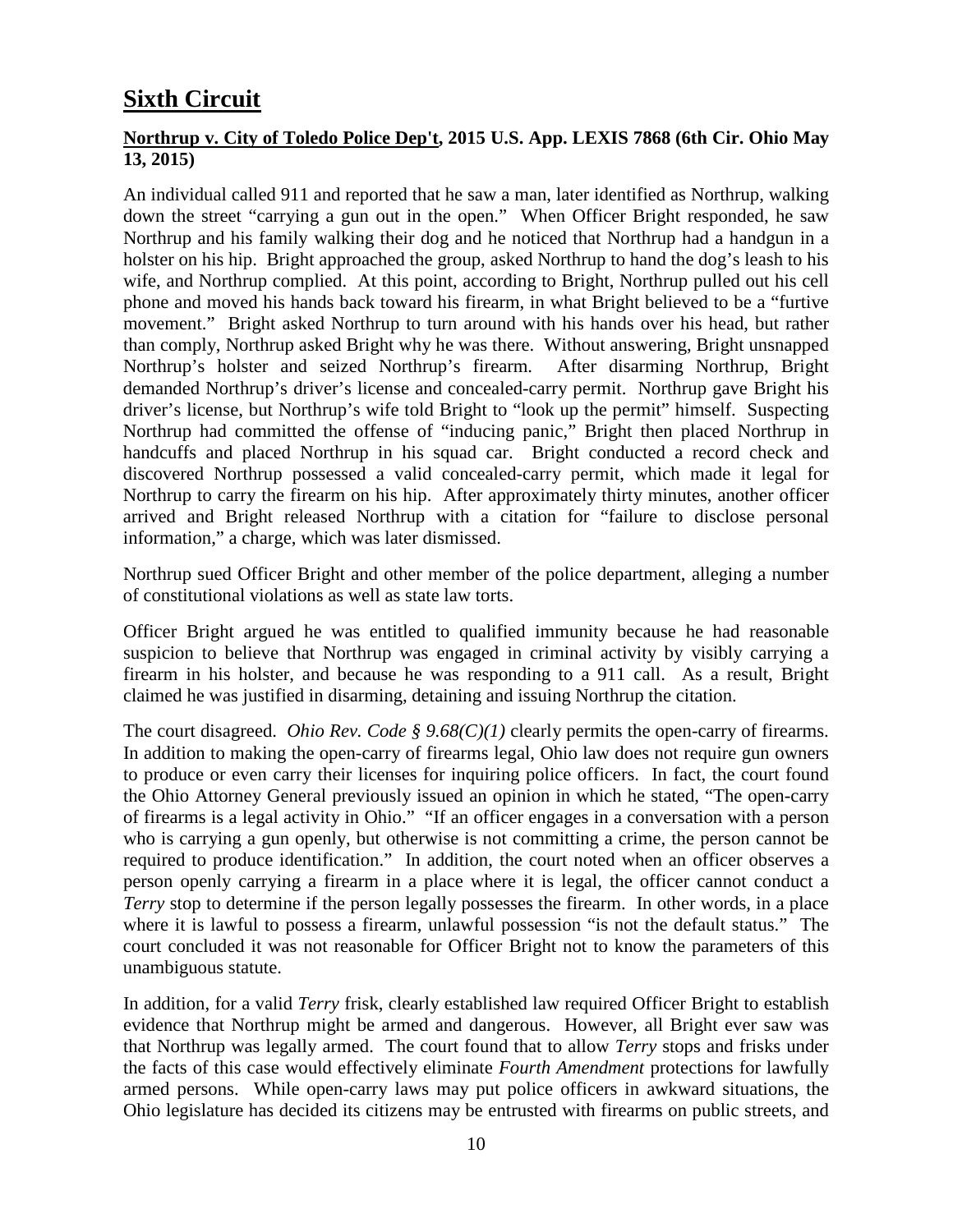# <span id="page-9-0"></span>**Sixth Circuit**

### <span id="page-9-1"></span>**Northrup v. City of Toledo Police Dep't, 2015 U.S. App. LEXIS 7868 (6th Cir. Ohio May 13, 2015)**

An individual called 911 and reported that he saw a man, later identified as Northrup, walking down the street "carrying a gun out in the open." When Officer Bright responded, he saw Northrup and his family walking their dog and he noticed that Northrup had a handgun in a holster on his hip. Bright approached the group, asked Northrup to hand the dog's leash to his wife, and Northrup complied. At this point, according to Bright, Northrup pulled out his cell phone and moved his hands back toward his firearm, in what Bright believed to be a "furtive movement." Bright asked Northrup to turn around with his hands over his head, but rather than comply, Northrup asked Bright why he was there. Without answering, Bright unsnapped Northrup's holster and seized Northrup's firearm. After disarming Northrup, Bright demanded Northrup's driver's license and concealed-carry permit. Northrup gave Bright his driver's license, but Northrup's wife told Bright to "look up the permit" himself. Suspecting Northrup had committed the offense of "inducing panic," Bright then placed Northrup in handcuffs and placed Northrup in his squad car. Bright conducted a record check and discovered Northrup possessed a valid concealed-carry permit, which made it legal for Northrup to carry the firearm on his hip. After approximately thirty minutes, another officer arrived and Bright released Northrup with a citation for "failure to disclose personal information," a charge, which was later dismissed.

Northrup sued Officer Bright and other member of the police department, alleging a number of constitutional violations as well as state law torts.

Officer Bright argued he was entitled to qualified immunity because he had reasonable suspicion to believe that Northrup was engaged in criminal activity by visibly carrying a firearm in his holster, and because he was responding to a 911 call. As a result, Bright claimed he was justified in disarming, detaining and issuing Northrup the citation.

The court disagreed. *Ohio Rev. Code § 9.68(C)(1)* clearly permits the open-carry of firearms. In addition to making the open-carry of firearms legal, Ohio law does not require gun owners to produce or even carry their licenses for inquiring police officers. In fact, the court found the Ohio Attorney General previously issued an opinion in which he stated, "The open-carry of firearms is a legal activity in Ohio." "If an officer engages in a conversation with a person who is carrying a gun openly, but otherwise is not committing a crime, the person cannot be required to produce identification." In addition, the court noted when an officer observes a person openly carrying a firearm in a place where it is legal, the officer cannot conduct a *Terry* stop to determine if the person legally possesses the firearm. In other words, in a place where it is lawful to possess a firearm, unlawful possession "is not the default status." The court concluded it was not reasonable for Officer Bright not to know the parameters of this unambiguous statute.

In addition, for a valid *Terry* frisk, clearly established law required Officer Bright to establish evidence that Northrup might be armed and dangerous. However, all Bright ever saw was that Northrup was legally armed. The court found that to allow *Terry* stops and frisks under the facts of this case would effectively eliminate *Fourth Amendment* protections for lawfully armed persons. While open-carry laws may put police officers in awkward situations, the Ohio legislature has decided its citizens may be entrusted with firearms on public streets, and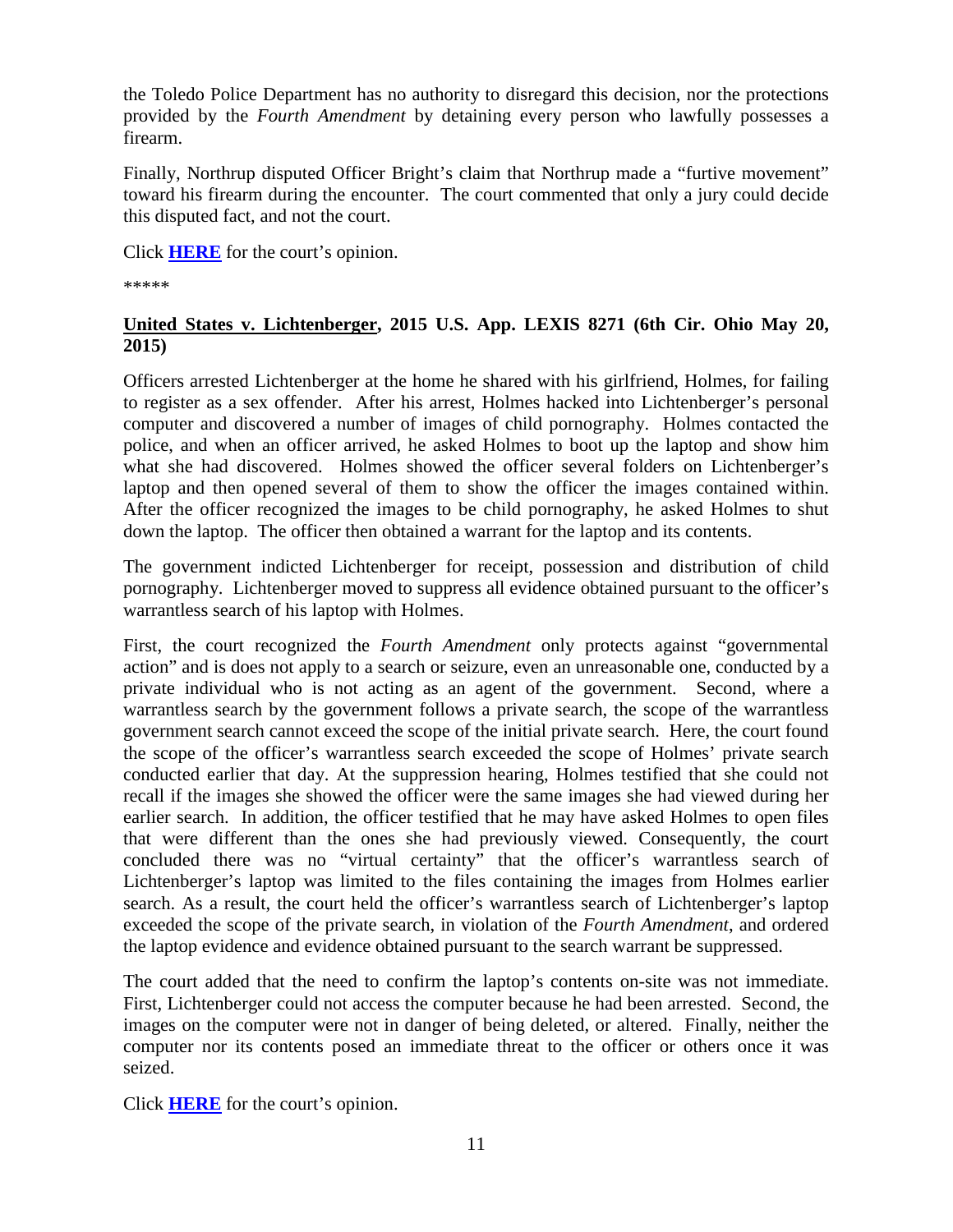the Toledo Police Department has no authority to disregard this decision, nor the protections provided by the *Fourth Amendment* by detaining every person who lawfully possesses a firearm.

Finally, Northrup disputed Officer Bright's claim that Northrup made a "furtive movement" toward his firearm during the encounter. The court commented that only a jury could decide this disputed fact, and not the court.

Click **[HERE](http://cases.justia.com/federal/appellate-courts/ca6/14-4050/14-4050-2015-05-13.pdf?ts=1431532857)** for the court's opinion.

\*\*\*\*\*

### <span id="page-10-0"></span>**United States v. Lichtenberger, 2015 U.S. App. LEXIS 8271 (6th Cir. Ohio May 20, 2015)**

Officers arrested Lichtenberger at the home he shared with his girlfriend, Holmes, for failing to register as a sex offender. After his arrest, Holmes hacked into Lichtenberger's personal computer and discovered a number of images of child pornography. Holmes contacted the police, and when an officer arrived, he asked Holmes to boot up the laptop and show him what she had discovered. Holmes showed the officer several folders on Lichtenberger's laptop and then opened several of them to show the officer the images contained within. After the officer recognized the images to be child pornography, he asked Holmes to shut down the laptop. The officer then obtained a warrant for the laptop and its contents.

The government indicted Lichtenberger for receipt, possession and distribution of child pornography. Lichtenberger moved to suppress all evidence obtained pursuant to the officer's warrantless search of his laptop with Holmes.

First, the court recognized the *Fourth Amendment* only protects against "governmental action" and is does not apply to a search or seizure, even an unreasonable one, conducted by a private individual who is not acting as an agent of the government. Second, where a warrantless search by the government follows a private search, the scope of the warrantless government search cannot exceed the scope of the initial private search. Here, the court found the scope of the officer's warrantless search exceeded the scope of Holmes' private search conducted earlier that day. At the suppression hearing, Holmes testified that she could not recall if the images she showed the officer were the same images she had viewed during her earlier search. In addition, the officer testified that he may have asked Holmes to open files that were different than the ones she had previously viewed. Consequently, the court concluded there was no "virtual certainty" that the officer's warrantless search of Lichtenberger's laptop was limited to the files containing the images from Holmes earlier search. As a result, the court held the officer's warrantless search of Lichtenberger's laptop exceeded the scope of the private search, in violation of the *Fourth Amendment*, and ordered the laptop evidence and evidence obtained pursuant to the search warrant be suppressed.

The court added that the need to confirm the laptop's contents on-site was not immediate. First, Lichtenberger could not access the computer because he had been arrested. Second, the images on the computer were not in danger of being deleted, or altered. Finally, neither the computer nor its contents posed an immediate threat to the officer or others once it was seized.

Click **[HERE](http://cases.justia.com/federal/appellate-courts/ca6/14-3540/14-3540-2015-05-20.pdf?ts=1432134040)** for the court's opinion.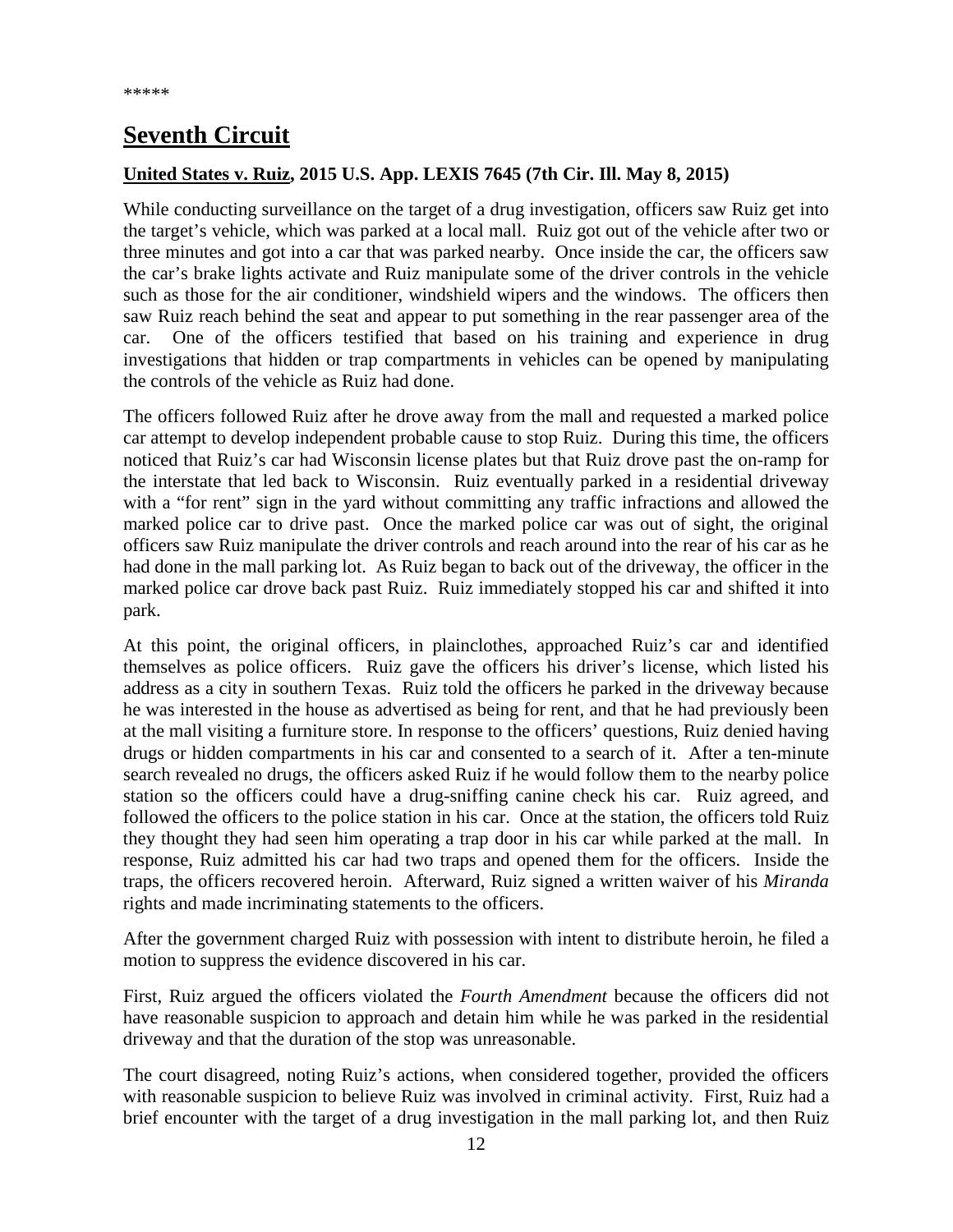# <span id="page-11-0"></span>**Seventh Circuit**

### <span id="page-11-1"></span>**United States v. Ruiz, 2015 U.S. App. LEXIS 7645 (7th Cir. Ill. May 8, 2015)**

While conducting surveillance on the target of a drug investigation, officers saw Ruiz get into the target's vehicle, which was parked at a local mall. Ruiz got out of the vehicle after two or three minutes and got into a car that was parked nearby. Once inside the car, the officers saw the car's brake lights activate and Ruiz manipulate some of the driver controls in the vehicle such as those for the air conditioner, windshield wipers and the windows. The officers then saw Ruiz reach behind the seat and appear to put something in the rear passenger area of the car. One of the officers testified that based on his training and experience in drug investigations that hidden or trap compartments in vehicles can be opened by manipulating the controls of the vehicle as Ruiz had done.

The officers followed Ruiz after he drove away from the mall and requested a marked police car attempt to develop independent probable cause to stop Ruiz. During this time, the officers noticed that Ruiz's car had Wisconsin license plates but that Ruiz drove past the on-ramp for the interstate that led back to Wisconsin. Ruiz eventually parked in a residential driveway with a "for rent" sign in the yard without committing any traffic infractions and allowed the marked police car to drive past. Once the marked police car was out of sight, the original officers saw Ruiz manipulate the driver controls and reach around into the rear of his car as he had done in the mall parking lot. As Ruiz began to back out of the driveway, the officer in the marked police car drove back past Ruiz. Ruiz immediately stopped his car and shifted it into park.

At this point, the original officers, in plainclothes, approached Ruiz's car and identified themselves as police officers. Ruiz gave the officers his driver's license, which listed his address as a city in southern Texas. Ruiz told the officers he parked in the driveway because he was interested in the house as advertised as being for rent, and that he had previously been at the mall visiting a furniture store. In response to the officers' questions, Ruiz denied having drugs or hidden compartments in his car and consented to a search of it. After a ten-minute search revealed no drugs, the officers asked Ruiz if he would follow them to the nearby police station so the officers could have a drug-sniffing canine check his car. Ruiz agreed, and followed the officers to the police station in his car. Once at the station, the officers told Ruiz they thought they had seen him operating a trap door in his car while parked at the mall. In response, Ruiz admitted his car had two traps and opened them for the officers. Inside the traps, the officers recovered heroin. Afterward, Ruiz signed a written waiver of his *Miranda* rights and made incriminating statements to the officers.

After the government charged Ruiz with possession with intent to distribute heroin, he filed a motion to suppress the evidence discovered in his car.

First, Ruiz argued the officers violated the *Fourth Amendment* because the officers did not have reasonable suspicion to approach and detain him while he was parked in the residential driveway and that the duration of the stop was unreasonable.

The court disagreed, noting Ruiz's actions, when considered together, provided the officers with reasonable suspicion to believe Ruiz was involved in criminal activity. First, Ruiz had a brief encounter with the target of a drug investigation in the mall parking lot, and then Ruiz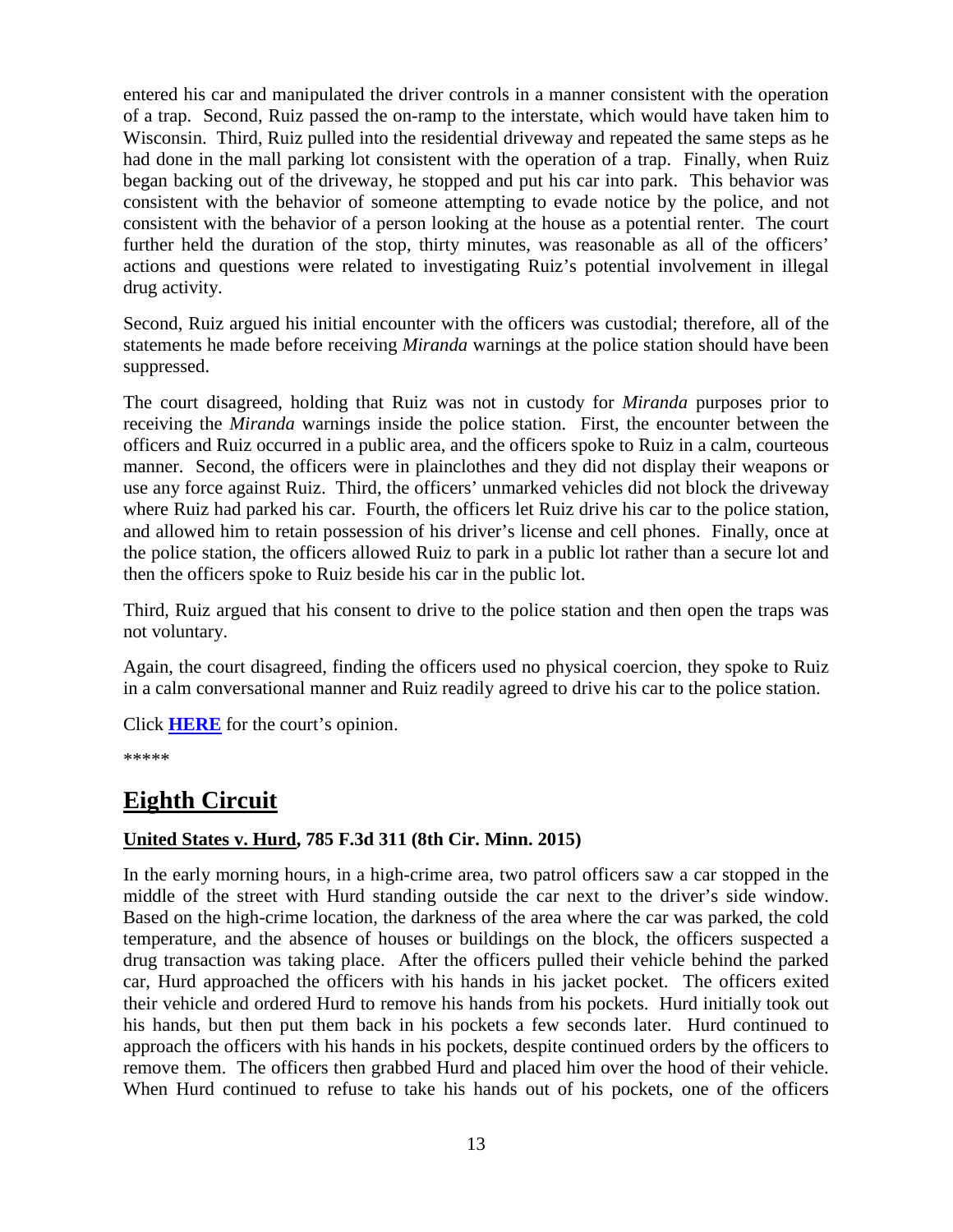entered his car and manipulated the driver controls in a manner consistent with the operation of a trap. Second, Ruiz passed the on-ramp to the interstate, which would have taken him to Wisconsin. Third, Ruiz pulled into the residential driveway and repeated the same steps as he had done in the mall parking lot consistent with the operation of a trap. Finally, when Ruiz began backing out of the driveway, he stopped and put his car into park. This behavior was consistent with the behavior of someone attempting to evade notice by the police, and not consistent with the behavior of a person looking at the house as a potential renter. The court further held the duration of the stop, thirty minutes, was reasonable as all of the officers' actions and questions were related to investigating Ruiz's potential involvement in illegal drug activity.

Second, Ruiz argued his initial encounter with the officers was custodial; therefore, all of the statements he made before receiving *Miranda* warnings at the police station should have been suppressed.

The court disagreed, holding that Ruiz was not in custody for *Miranda* purposes prior to receiving the *Miranda* warnings inside the police station. First, the encounter between the officers and Ruiz occurred in a public area, and the officers spoke to Ruiz in a calm, courteous manner. Second, the officers were in plainclothes and they did not display their weapons or use any force against Ruiz. Third, the officers' unmarked vehicles did not block the driveway where Ruiz had parked his car. Fourth, the officers let Ruiz drive his car to the police station, and allowed him to retain possession of his driver's license and cell phones. Finally, once at the police station, the officers allowed Ruiz to park in a public lot rather than a secure lot and then the officers spoke to Ruiz beside his car in the public lot.

Third, Ruiz argued that his consent to drive to the police station and then open the traps was not voluntary.

Again, the court disagreed, finding the officers used no physical coercion, they spoke to Ruiz in a calm conversational manner and Ruiz readily agreed to drive his car to the police station.

Click **[HERE](http://cases.justia.com/federal/appellate-courts/ca7/13-1209/13-1209-2015-05-08.pdf?ts=1431118857)** for the court's opinion.

\*\*\*\*\*

### <span id="page-12-0"></span>**Eighth Circuit**

### <span id="page-12-1"></span>**United States v. Hurd, 785 F.3d 311 (8th Cir. Minn. 2015)**

In the early morning hours, in a high-crime area, two patrol officers saw a car stopped in the middle of the street with Hurd standing outside the car next to the driver's side window. Based on the high-crime location, the darkness of the area where the car was parked, the cold temperature, and the absence of houses or buildings on the block, the officers suspected a drug transaction was taking place. After the officers pulled their vehicle behind the parked car, Hurd approached the officers with his hands in his jacket pocket. The officers exited their vehicle and ordered Hurd to remove his hands from his pockets. Hurd initially took out his hands, but then put them back in his pockets a few seconds later. Hurd continued to approach the officers with his hands in his pockets, despite continued orders by the officers to remove them. The officers then grabbed Hurd and placed him over the hood of their vehicle. When Hurd continued to refuse to take his hands out of his pockets, one of the officers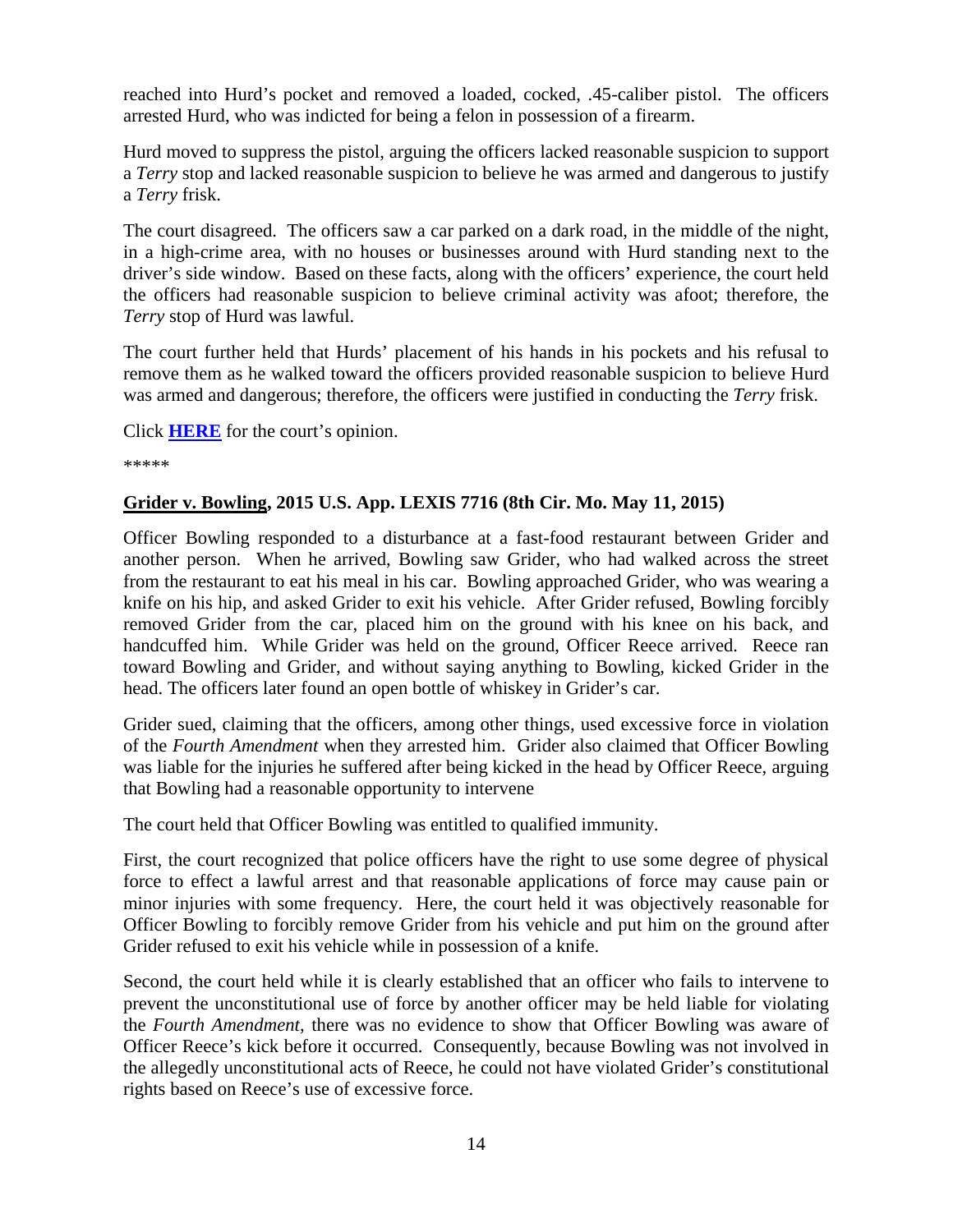reached into Hurd's pocket and removed a loaded, cocked, .45-caliber pistol. The officers arrested Hurd, who was indicted for being a felon in possession of a firearm.

Hurd moved to suppress the pistol, arguing the officers lacked reasonable suspicion to support a *Terry* stop and lacked reasonable suspicion to believe he was armed and dangerous to justify a *Terry* frisk.

The court disagreed. The officers saw a car parked on a dark road, in the middle of the night, in a high-crime area, with no houses or businesses around with Hurd standing next to the driver's side window. Based on these facts, along with the officers' experience, the court held the officers had reasonable suspicion to believe criminal activity was afoot; therefore, the *Terry* stop of Hurd was lawful.

The court further held that Hurds' placement of his hands in his pockets and his refusal to remove them as he walked toward the officers provided reasonable suspicion to believe Hurd was armed and dangerous; therefore, the officers were justified in conducting the *Terry* frisk.

Click **[HERE](http://cases.justia.com/federal/appellate-courts/ca8/14-2872/14-2872-2015-05-08.pdf?ts=1431099053)** for the court's opinion.

\*\*\*\*\*

#### <span id="page-13-0"></span>**Grider v. Bowling, 2015 U.S. App. LEXIS 7716 (8th Cir. Mo. May 11, 2015)**

Officer Bowling responded to a disturbance at a fast-food restaurant between Grider and another person. When he arrived, Bowling saw Grider, who had walked across the street from the restaurant to eat his meal in his car. Bowling approached Grider, who was wearing a knife on his hip, and asked Grider to exit his vehicle. After Grider refused, Bowling forcibly removed Grider from the car, placed him on the ground with his knee on his back, and handcuffed him. While Grider was held on the ground, Officer Reece arrived. Reece ran toward Bowling and Grider, and without saying anything to Bowling, kicked Grider in the head. The officers later found an open bottle of whiskey in Grider's car.

Grider sued, claiming that the officers, among other things, used excessive force in violation of the *Fourth Amendment* when they arrested him. Grider also claimed that Officer Bowling was liable for the injuries he suffered after being kicked in the head by Officer Reece, arguing that Bowling had a reasonable opportunity to intervene

The court held that Officer Bowling was entitled to qualified immunity.

First, the court recognized that police officers have the right to use some degree of physical force to effect a lawful arrest and that reasonable applications of force may cause pain or minor injuries with some frequency. Here, the court held it was objectively reasonable for Officer Bowling to forcibly remove Grider from his vehicle and put him on the ground after Grider refused to exit his vehicle while in possession of a knife.

Second, the court held while it is clearly established that an officer who fails to intervene to prevent the unconstitutional use of force by another officer may be held liable for violating the *Fourth Amendment*, there was no evidence to show that Officer Bowling was aware of Officer Reece's kick before it occurred. Consequently, because Bowling was not involved in the allegedly unconstitutional acts of Reece, he could not have violated Grider's constitutional rights based on Reece's use of excessive force.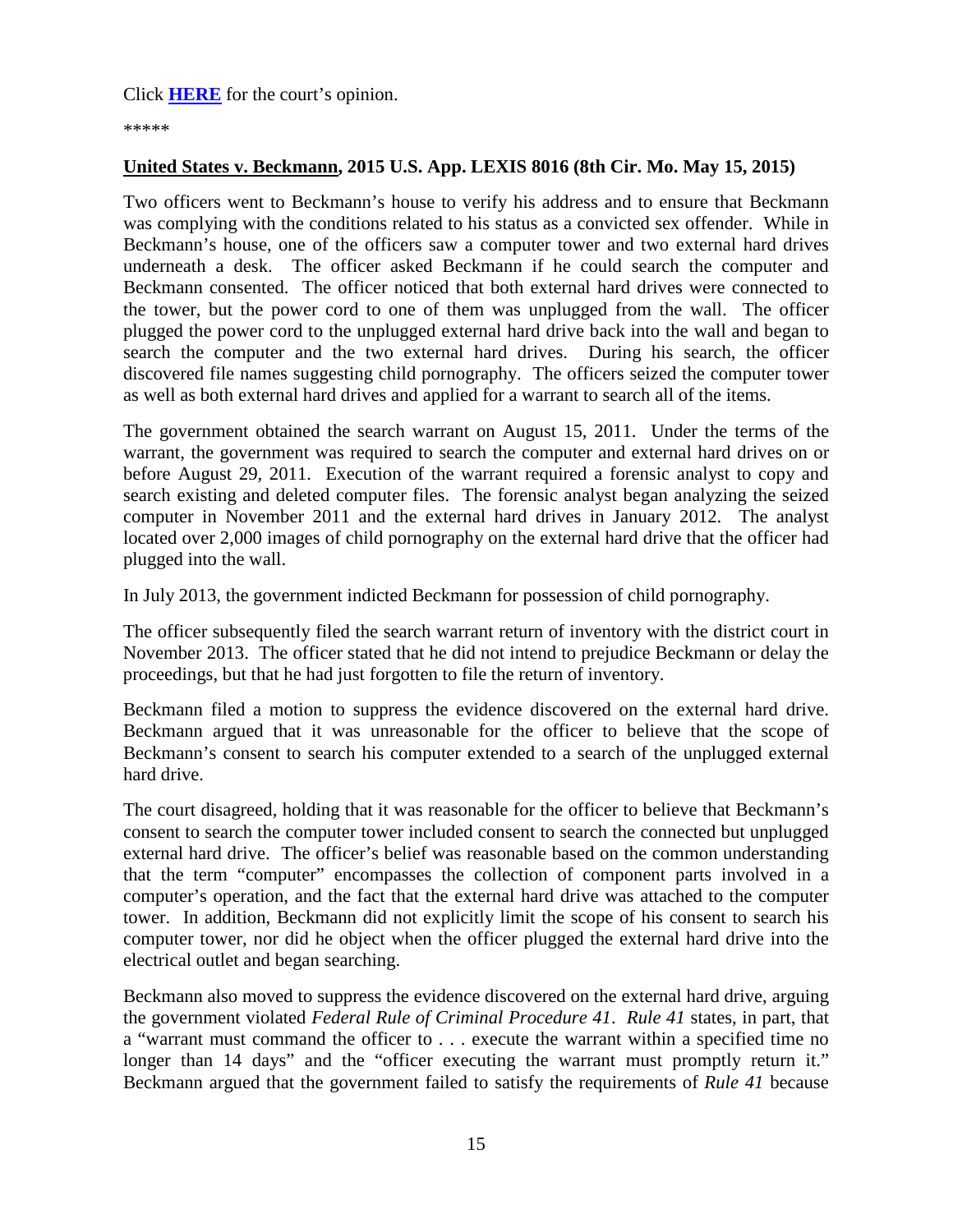\*\*\*\*\*

### <span id="page-14-0"></span>**United States v. Beckmann, 2015 U.S. App. LEXIS 8016 (8th Cir. Mo. May 15, 2015)**

Two officers went to Beckmann's house to verify his address and to ensure that Beckmann was complying with the conditions related to his status as a convicted sex offender. While in Beckmann's house, one of the officers saw a computer tower and two external hard drives underneath a desk. The officer asked Beckmann if he could search the computer and Beckmann consented. The officer noticed that both external hard drives were connected to the tower, but the power cord to one of them was unplugged from the wall. The officer plugged the power cord to the unplugged external hard drive back into the wall and began to search the computer and the two external hard drives. During his search, the officer discovered file names suggesting child pornography. The officers seized the computer tower as well as both external hard drives and applied for a warrant to search all of the items.

The government obtained the search warrant on August 15, 2011. Under the terms of the warrant, the government was required to search the computer and external hard drives on or before August 29, 2011. Execution of the warrant required a forensic analyst to copy and search existing and deleted computer files. The forensic analyst began analyzing the seized computer in November 2011 and the external hard drives in January 2012. The analyst located over 2,000 images of child pornography on the external hard drive that the officer had plugged into the wall.

In July 2013, the government indicted Beckmann for possession of child pornography.

The officer subsequently filed the search warrant return of inventory with the district court in November 2013. The officer stated that he did not intend to prejudice Beckmann or delay the proceedings, but that he had just forgotten to file the return of inventory.

Beckmann filed a motion to suppress the evidence discovered on the external hard drive. Beckmann argued that it was unreasonable for the officer to believe that the scope of Beckmann's consent to search his computer extended to a search of the unplugged external hard drive.

The court disagreed, holding that it was reasonable for the officer to believe that Beckmann's consent to search the computer tower included consent to search the connected but unplugged external hard drive. The officer's belief was reasonable based on the common understanding that the term "computer" encompasses the collection of component parts involved in a computer's operation, and the fact that the external hard drive was attached to the computer tower. In addition, Beckmann did not explicitly limit the scope of his consent to search his computer tower, nor did he object when the officer plugged the external hard drive into the electrical outlet and began searching.

Beckmann also moved to suppress the evidence discovered on the external hard drive, arguing the government violated *Federal Rule of Criminal Procedure 41*. *Rule 41* states, in part, that a "warrant must command the officer to . . . execute the warrant within a specified time no longer than 14 days" and the "officer executing the warrant must promptly return it." Beckmann argued that the government failed to satisfy the requirements of *Rule 41* because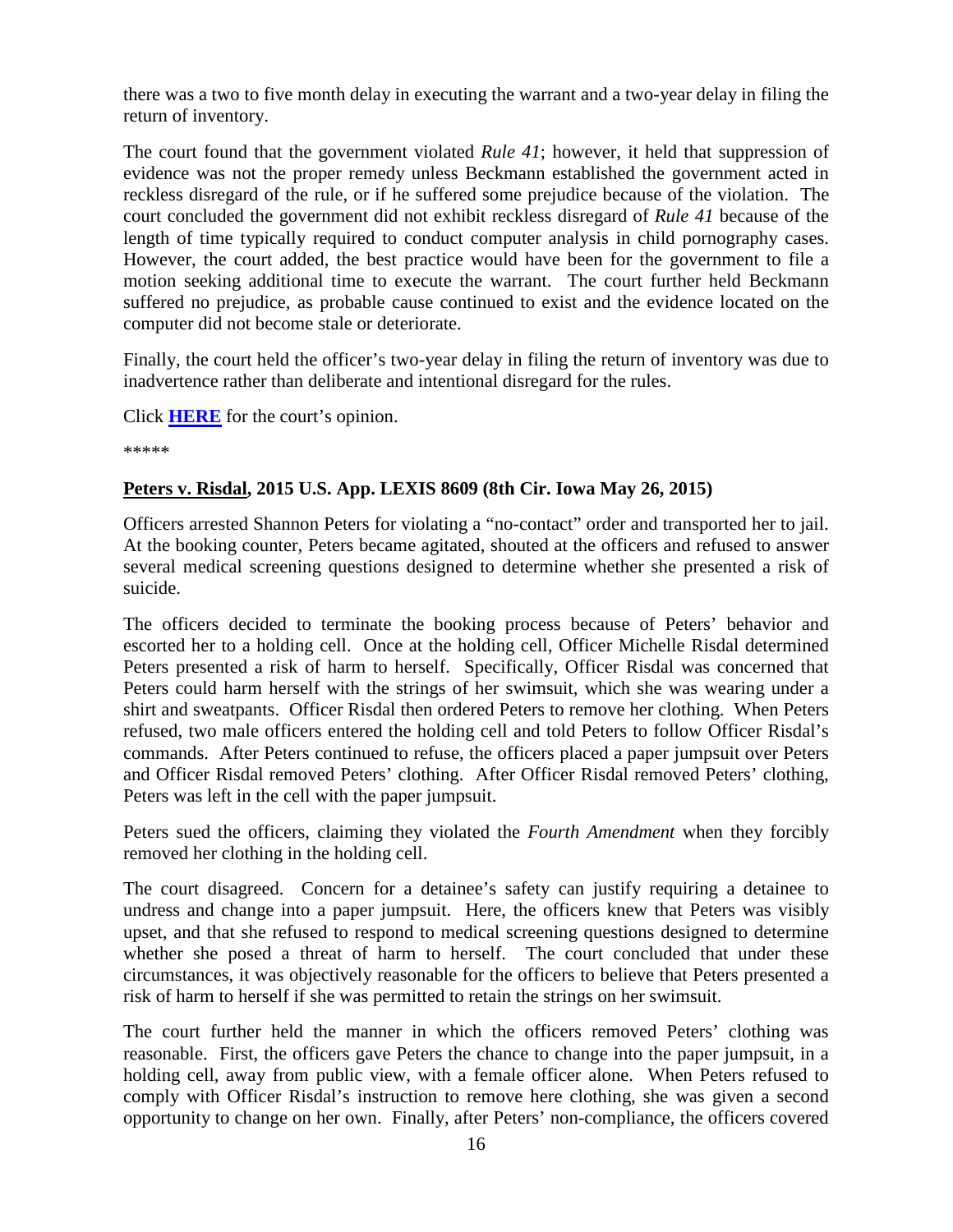there was a two to five month delay in executing the warrant and a two-year delay in filing the return of inventory.

The court found that the government violated *Rule 41*; however, it held that suppression of evidence was not the proper remedy unless Beckmann established the government acted in reckless disregard of the rule, or if he suffered some prejudice because of the violation. The court concluded the government did not exhibit reckless disregard of *Rule 41* because of the length of time typically required to conduct computer analysis in child pornography cases. However, the court added, the best practice would have been for the government to file a motion seeking additional time to execute the warrant. The court further held Beckmann suffered no prejudice, as probable cause continued to exist and the evidence located on the computer did not become stale or deteriorate.

Finally, the court held the officer's two-year delay in filing the return of inventory was due to inadvertence rather than deliberate and intentional disregard for the rules.

Click **[HERE](http://cases.justia.com/federal/appellate-courts/ca8/14-3086/14-3086-2015-05-15.pdf?ts=1431703870)** for the court's opinion.

\*\*\*\*\*

### <span id="page-15-0"></span>**Peters v. Risdal, 2015 U.S. App. LEXIS 8609 (8th Cir. Iowa May 26, 2015)**

Officers arrested Shannon Peters for violating a "no-contact" order and transported her to jail. At the booking counter, Peters became agitated, shouted at the officers and refused to answer several medical screening questions designed to determine whether she presented a risk of suicide.

The officers decided to terminate the booking process because of Peters' behavior and escorted her to a holding cell. Once at the holding cell, Officer Michelle Risdal determined Peters presented a risk of harm to herself. Specifically, Officer Risdal was concerned that Peters could harm herself with the strings of her swimsuit, which she was wearing under a shirt and sweatpants. Officer Risdal then ordered Peters to remove her clothing. When Peters refused, two male officers entered the holding cell and told Peters to follow Officer Risdal's commands. After Peters continued to refuse, the officers placed a paper jumpsuit over Peters and Officer Risdal removed Peters' clothing. After Officer Risdal removed Peters' clothing, Peters was left in the cell with the paper jumpsuit.

Peters sued the officers, claiming they violated the *Fourth Amendment* when they forcibly removed her clothing in the holding cell.

The court disagreed. Concern for a detainee's safety can justify requiring a detainee to undress and change into a paper jumpsuit. Here, the officers knew that Peters was visibly upset, and that she refused to respond to medical screening questions designed to determine whether she posed a threat of harm to herself. The court concluded that under these circumstances, it was objectively reasonable for the officers to believe that Peters presented a risk of harm to herself if she was permitted to retain the strings on her swimsuit.

The court further held the manner in which the officers removed Peters' clothing was reasonable. First, the officers gave Peters the chance to change into the paper jumpsuit, in a holding cell, away from public view, with a female officer alone. When Peters refused to comply with Officer Risdal's instruction to remove here clothing, she was given a second opportunity to change on her own. Finally, after Peters' non-compliance, the officers covered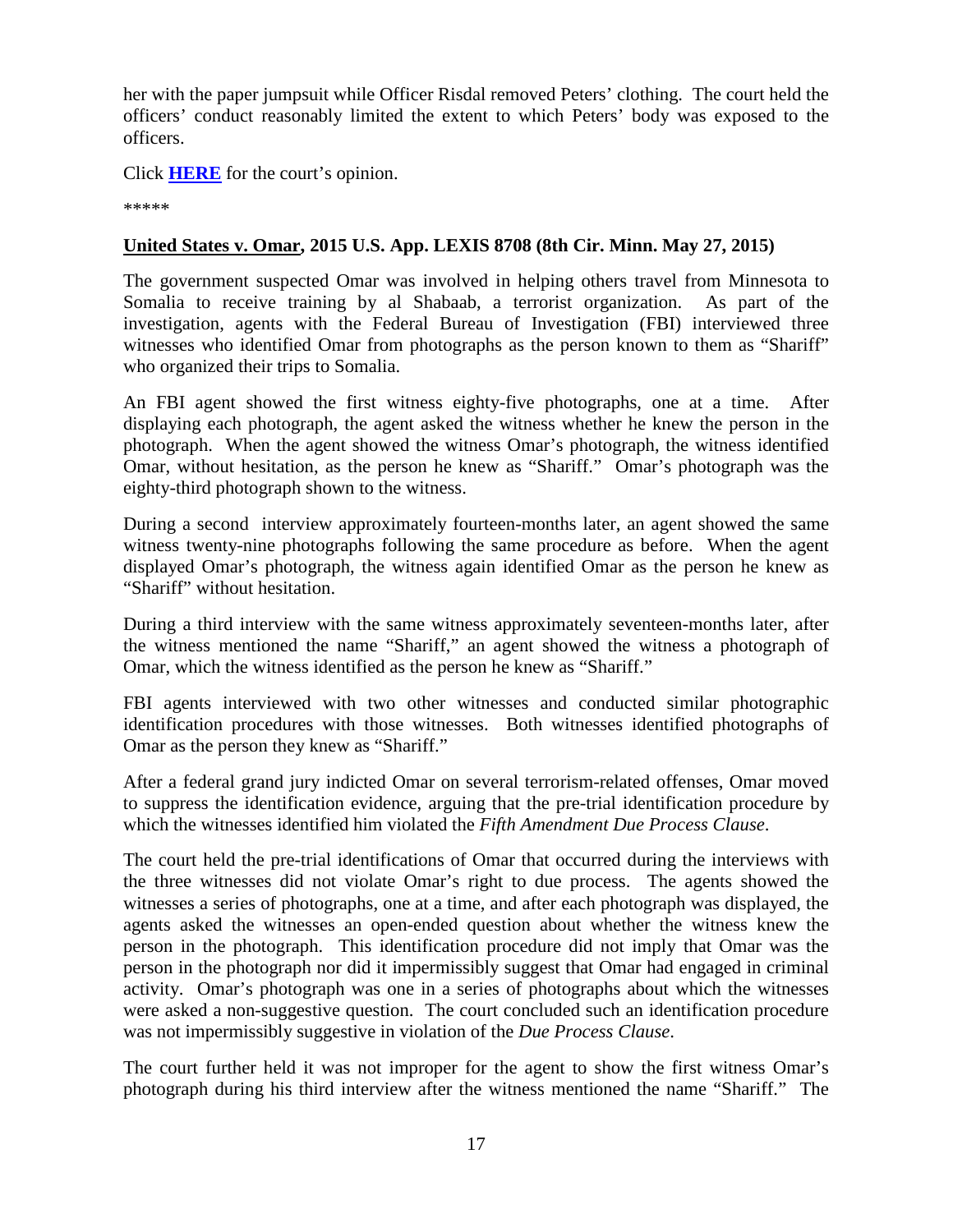her with the paper jumpsuit while Officer Risdal removed Peters' clothing. The court held the officers' conduct reasonably limited the extent to which Peters' body was exposed to the officers.

Click **[HERE](http://cases.justia.com/federal/appellate-courts/ca8/14-1522/14-1522-2015-05-26.pdf?ts=1432652468)** for the court's opinion.

\*\*\*\*\*

### <span id="page-16-0"></span>**United States v. Omar, 2015 U.S. App. LEXIS 8708 (8th Cir. Minn. May 27, 2015)**

The government suspected Omar was involved in helping others travel from Minnesota to Somalia to receive training by al Shabaab, a terrorist organization. As part of the investigation, agents with the Federal Bureau of Investigation (FBI) interviewed three witnesses who identified Omar from photographs as the person known to them as "Shariff" who organized their trips to Somalia.

An FBI agent showed the first witness eighty-five photographs, one at a time. After displaying each photograph, the agent asked the witness whether he knew the person in the photograph. When the agent showed the witness Omar's photograph, the witness identified Omar, without hesitation, as the person he knew as "Shariff." Omar's photograph was the eighty-third photograph shown to the witness.

During a second interview approximately fourteen-months later, an agent showed the same witness twenty-nine photographs following the same procedure as before. When the agent displayed Omar's photograph, the witness again identified Omar as the person he knew as "Shariff" without hesitation.

During a third interview with the same witness approximately seventeen-months later, after the witness mentioned the name "Shariff," an agent showed the witness a photograph of Omar, which the witness identified as the person he knew as "Shariff."

FBI agents interviewed with two other witnesses and conducted similar photographic identification procedures with those witnesses. Both witnesses identified photographs of Omar as the person they knew as "Shariff."

After a federal grand jury indicted Omar on several terrorism-related offenses, Omar moved to suppress the identification evidence, arguing that the pre-trial identification procedure by which the witnesses identified him violated the *Fifth Amendment Due Process Clause*.

The court held the pre-trial identifications of Omar that occurred during the interviews with the three witnesses did not violate Omar's right to due process. The agents showed the witnesses a series of photographs, one at a time, and after each photograph was displayed, the agents asked the witnesses an open-ended question about whether the witness knew the person in the photograph. This identification procedure did not imply that Omar was the person in the photograph nor did it impermissibly suggest that Omar had engaged in criminal activity. Omar's photograph was one in a series of photographs about which the witnesses were asked a non-suggestive question. The court concluded such an identification procedure was not impermissibly suggestive in violation of the *Due Process Clause*.

The court further held it was not improper for the agent to show the first witness Omar's photograph during his third interview after the witness mentioned the name "Shariff." The